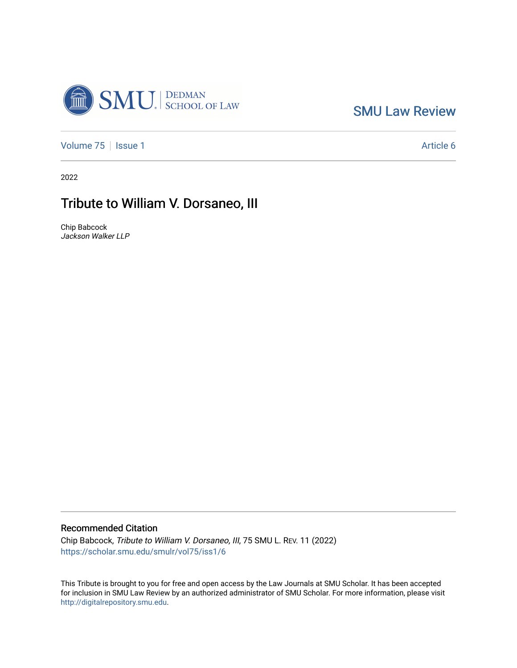

[SMU Law Review](https://scholar.smu.edu/smulr) 

[Volume 75](https://scholar.smu.edu/smulr/vol75) | [Issue 1](https://scholar.smu.edu/smulr/vol75/iss1) Article 6

2022

## Tribute to William V. Dorsaneo, III

Chip Babcock Jackson Walker LLP

## Recommended Citation

Chip Babcock, Tribute to William V. Dorsaneo, III, 75 SMU L. REV. 11 (2022) [https://scholar.smu.edu/smulr/vol75/iss1/6](https://scholar.smu.edu/smulr/vol75/iss1/6?utm_source=scholar.smu.edu%2Fsmulr%2Fvol75%2Fiss1%2F6&utm_medium=PDF&utm_campaign=PDFCoverPages) 

This Tribute is brought to you for free and open access by the Law Journals at SMU Scholar. It has been accepted for inclusion in SMU Law Review by an authorized administrator of SMU Scholar. For more information, please visit [http://digitalrepository.smu.edu.](http://digitalrepository.smu.edu/)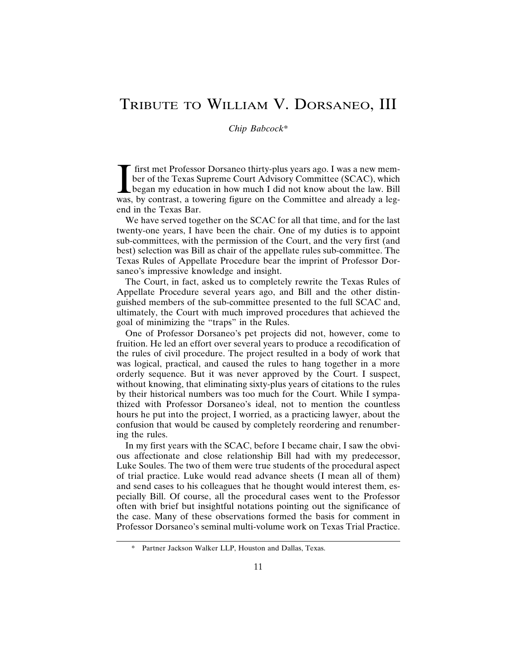## TRIBUTE TO WILLIAM V. DORSANEO, III

## *Chip Babcock*\*

If irst met Professor Dorsaneo thirty-plus years ago. I was a new member of the Texas Supreme Court Advisory Committee (SCAC), which began my education in how much I did not know about the law. Bill was, by contrast, a tow first met Professor Dorsaneo thirty-plus years ago. I was a new member of the Texas Supreme Court Advisory Committee (SCAC), which began my education in how much I did not know about the law. Bill end in the Texas Bar.

We have served together on the SCAC for all that time, and for the last twenty-one years, I have been the chair. One of my duties is to appoint sub-committees, with the permission of the Court, and the very first (and best) selection was Bill as chair of the appellate rules sub-committee. The Texas Rules of Appellate Procedure bear the imprint of Professor Dorsaneo's impressive knowledge and insight.

The Court, in fact, asked us to completely rewrite the Texas Rules of Appellate Procedure several years ago, and Bill and the other distinguished members of the sub-committee presented to the full SCAC and, ultimately, the Court with much improved procedures that achieved the goal of minimizing the "traps" in the Rules.

One of Professor Dorsaneo's pet projects did not, however, come to fruition. He led an effort over several years to produce a recodification of the rules of civil procedure. The project resulted in a body of work that was logical, practical, and caused the rules to hang together in a more orderly sequence. But it was never approved by the Court. I suspect, without knowing, that eliminating sixty-plus years of citations to the rules by their historical numbers was too much for the Court. While I sympathized with Professor Dorsaneo's ideal, not to mention the countless hours he put into the project, I worried, as a practicing lawyer, about the confusion that would be caused by completely reordering and renumbering the rules.

In my first years with the SCAC, before I became chair, I saw the obvious affectionate and close relationship Bill had with my predecessor, Luke Soules. The two of them were true students of the procedural aspect of trial practice. Luke would read advance sheets (I mean all of them) and send cases to his colleagues that he thought would interest them, especially Bill. Of course, all the procedural cases went to the Professor often with brief but insightful notations pointing out the significance of the case. Many of these observations formed the basis for comment in Professor Dorsaneo's seminal multi-volume work on Texas Trial Practice.

Partner Jackson Walker LLP, Houston and Dallas, Texas.